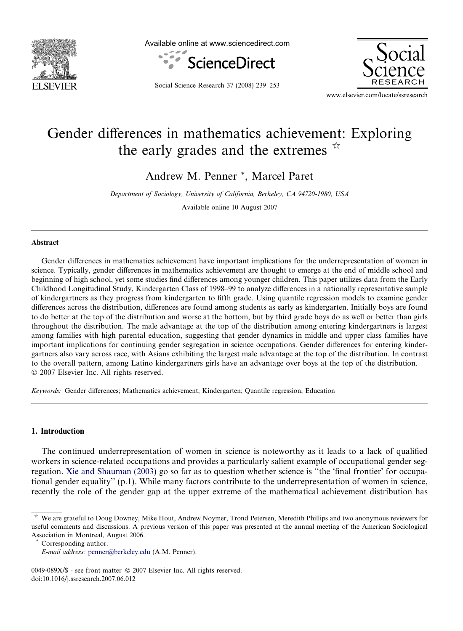

Available online at www.sciencedirect.com



Social Science Research 37 (2008) 239–253

www.elsevier.com/locate/ssresearch

# Gender differences in mathematics achievement: Exploring the early grades and the extremes  $\vec{r}$

Andrew M. Penner \*, Marcel Paret

Department of Sociology, University of California, Berkeley, CA 94720-1980, USA

Available online 10 August 2007

#### Abstract

Gender differences in mathematics achievement have important implications for the underrepresentation of women in science. Typically, gender differences in mathematics achievement are thought to emerge at the end of middle school and beginning of high school, yet some studies find differences among younger children. This paper utilizes data from the Early Childhood Longitudinal Study, Kindergarten Class of 1998–99 to analyze differences in a nationally representative sample of kindergartners as they progress from kindergarten to fifth grade. Using quantile regression models to examine gender differences across the distribution, differences are found among students as early as kindergarten. Initially boys are found to do better at the top of the distribution and worse at the bottom, but by third grade boys do as well or better than girls throughout the distribution. The male advantage at the top of the distribution among entering kindergartners is largest among families with high parental education, suggesting that gender dynamics in middle and upper class families have important implications for continuing gender segregation in science occupations. Gender differences for entering kindergartners also vary across race, with Asians exhibiting the largest male advantage at the top of the distribution. In contrast to the overall pattern, among Latino kindergartners girls have an advantage over boys at the top of the distribution.  $© 2007 Elsevier Inc. All rights reserved.$ 

Keywords: Gender differences; Mathematics achievement; Kindergarten; Quantile regression; Education

#### 1. Introduction

The continued underrepresentation of women in science is noteworthy as it leads to a lack of qualified workers in science-related occupations and provides a particularly salient example of occupational gender segregation. [Xie and Shauman \(2003\)](#page-14-0) go so far as to question whether science is ''the 'final frontier' for occupational gender equality'' (p.1). While many factors contribute to the underrepresentation of women in science, recently the role of the gender gap at the upper extreme of the mathematical achievement distribution has

Corresponding author.

 $*$  We are grateful to Doug Downey, Mike Hout, Andrew Noymer, Trond Petersen, Meredith Phillips and two anonymous reviewers for useful comments and discussions. A previous version of this paper was presented at the annual meeting of the American Sociological Association in Montreal, August 2006.

E-mail address: [penner@berkeley.edu](mailto:penner@berkeley.edu) (A.M. Penner).

<sup>0049-089</sup>X/\$ - see front matter © 2007 Elsevier Inc. All rights reserved. doi:10.1016/j.ssresearch.2007.06.012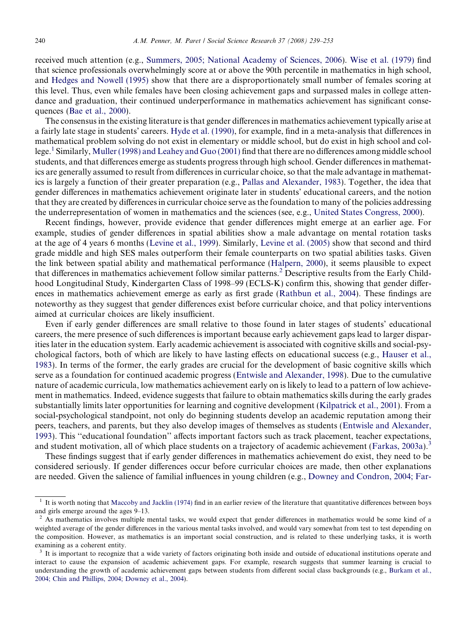received much attention (e.g., [Summers, 2005; National Academy of Sciences, 2006](#page-14-0)). [Wise et al. \(1979\)](#page-14-0) find that science professionals overwhelmingly score at or above the 90th percentile in mathematics in high school, and [Hedges and Nowell \(1995\)](#page-13-0) show that there are a disproportionately small number of females scoring at this level. Thus, even while females have been closing achievement gaps and surpassed males in college attendance and graduation, their continued underperformance in mathematics achievement has significant consequences [\(Bae et al., 2000](#page-12-0)).

The consensus in the existing literature is that gender differences in mathematics achievement typically arise at a fairly late stage in students' careers. [Hyde et al. \(1990\),](#page-13-0) for example, find in a meta-analysis that differences in mathematical problem solving do not exist in elementary or middle school, but do exist in high school and college.<sup>1</sup> Similarly, [Muller \(1998\) and Leahey and Guo \(2001\)](#page-13-0) find that there are no differences among middle school students, and that differences emerge as students progress through high school. Gender differences in mathematics are generally assumed to result from differences in curricular choice, so that the male advantage in mathematics is largely a function of their greater preparation (e.g., [Pallas and Alexander, 1983](#page-14-0)). Together, the idea that gender differences in mathematics achievement originate later in students' educational careers, and the notion that they are created by differences in curricular choice serve as the foundation to many of the policies addressing the underrepresentation of women in mathematics and the sciences (see, e.g., [United States Congress, 2000\)](#page-14-0).

Recent findings, however, provide evidence that gender differences might emerge at an earlier age. For example, studies of gender differences in spatial abilities show a male advantage on mental rotation tasks at the age of 4 years 6 months ([Levine et al., 1999\)](#page-13-0). Similarly, [Levine et al. \(2005\)](#page-13-0) show that second and third grade middle and high SES males outperform their female counterparts on two spatial abilities tasks. Given the link between spatial ability and mathematical performance ([Halpern, 2000\)](#page-13-0), it seems plausible to expect that differences in mathematics achievement follow similar patterns.<sup>2</sup> Descriptive results from the Early Childhood Longitudinal Study, Kindergarten Class of 1998–99 (ECLS-K) confirm this, showing that gender differences in mathematics achievement emerge as early as first grade [\(Rathbun et al., 2004\)](#page-14-0). These findings are noteworthy as they suggest that gender differences exist before curricular choice, and that policy interventions aimed at curricular choices are likely insufficient.

Even if early gender differences are small relative to those found in later stages of students' educational careers, the mere presence of such differences is important because early achievement gaps lead to larger disparities later in the education system. Early academic achievement is associated with cognitive skills and social-psychological factors, both of which are likely to have lasting effects on educational success (e.g., [Hauser et al.,](#page-13-0) [1983](#page-13-0)). In terms of the former, the early grades are crucial for the development of basic cognitive skills which serve as a foundation for continued academic progress ([Entwisle and Alexander, 1998](#page-13-0)). Due to the cumulative nature of academic curricula, low mathematics achievement early on is likely to lead to a pattern of low achievement in mathematics. Indeed, evidence suggests that failure to obtain mathematics skills during the early grades substantially limits later opportunities for learning and cognitive development ([Kilpatrick et al., 2001](#page-13-0)). From a social-psychological standpoint, not only do beginning students develop an academic reputation among their peers, teachers, and parents, but they also develop images of themselves as students ([Entwisle and Alexander,](#page-13-0) [1993](#page-13-0)). This ''educational foundation'' affects important factors such as track placement, teacher expectations, and student motivation, all of which place students on a trajectory of academic achievement ([Farkas, 2003a\)](#page-13-0).<sup>3</sup>

These findings suggest that if early gender differences in mathematics achievement do exist, they need to be considered seriously. If gender differences occur before curricular choices are made, then other explanations are needed. Given the salience of familial influences in young children (e.g., [Downey and Condron, 2004; Far-](#page-13-0)

 $<sup>1</sup>$  It is worth noting that [Maccoby and Jacklin \(1974\)](#page-13-0) find in an earlier review of the literature that quantitative differences between boys</sup> and girls emerge around the ages 9–13.

 $2$  As mathematics involves multiple mental tasks, we would expect that gender differences in mathematics would be some kind of a weighted average of the gender differences in the various mental tasks involved, and would vary somewhat from test to test depending on the composition. However, as mathematics is an important social construction, and is related to these underlying tasks, it is worth examining as a coherent entity.

<sup>3</sup> It is important to recognize that a wide variety of factors originating both inside and outside of educational institutions operate and interact to cause the expansion of academic achievement gaps. For example, research suggests that summer learning is crucial to understanding the growth of academic achievement gaps between students from different social class backgrounds (e.g., [Burkam et al.,](#page-12-0) [2004; Chin and Phillips, 2004; Downey et al., 2004](#page-12-0)).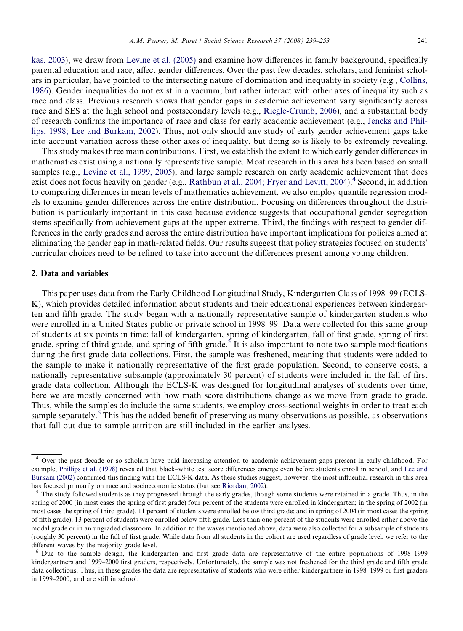[kas, 2003\)](#page-13-0), we draw from [Levine et al. \(2005\)](#page-13-0) and examine how differences in family background, specifically parental education and race, affect gender differences. Over the past few decades, scholars, and feminist scholars in particular, have pointed to the intersecting nature of domination and inequality in society (e.g., [Collins,](#page-12-0) [1986\)](#page-12-0). Gender inequalities do not exist in a vacuum, but rather interact with other axes of inequality such as race and class. Previous research shows that gender gaps in academic achievement vary significantly across race and SES at the high school and postsecondary levels (e.g., [Riegle-Crumb, 2006](#page-14-0)), and a substantial body of research confirms the importance of race and class for early academic achievement (e.g., [Jencks and Phil](#page-13-0)[lips, 1998; Lee and Burkam, 2002\)](#page-13-0). Thus, not only should any study of early gender achievement gaps take into account variation across these other axes of inequality, but doing so is likely to be extremely revealing.

This study makes three main contributions. First, we establish the extent to which early gender differences in mathematics exist using a nationally representative sample. Most research in this area has been based on small samples (e.g., [Levine et al., 1999, 2005\)](#page-13-0), and large sample research on early academic achievement that does exist does not focus heavily on gender (e.g., [Rathbun et al., 2004; Fryer and Levitt, 2004\)](#page-14-0).<sup>4</sup> Second, in addition to comparing differences in mean levels of mathematics achievement, we also employ quantile regression models to examine gender differences across the entire distribution. Focusing on differences throughout the distribution is particularly important in this case because evidence suggests that occupational gender segregation stems specifically from achievement gaps at the upper extreme. Third, the findings with respect to gender differences in the early grades and across the entire distribution have important implications for policies aimed at eliminating the gender gap in math-related fields. Our results suggest that policy strategies focused on students' curricular choices need to be refined to take into account the differences present among young children.

### 2. Data and variables

This paper uses data from the Early Childhood Longitudinal Study, Kindergarten Class of 1998–99 (ECLS-K), which provides detailed information about students and their educational experiences between kindergarten and fifth grade. The study began with a nationally representative sample of kindergarten students who were enrolled in a United States public or private school in 1998–99. Data were collected for this same group of students at six points in time: fall of kindergarten, spring of kindergarten, fall of first grade, spring of first grade, spring of third grade, and spring of fifth grade.<sup>5</sup> It is also important to note two sample modifications during the first grade data collections. First, the sample was freshened, meaning that students were added to the sample to make it nationally representative of the first grade population. Second, to conserve costs, a nationally representative subsample (approximately 30 percent) of students were included in the fall of first grade data collection. Although the ECLS-K was designed for longitudinal analyses of students over time, here we are mostly concerned with how math score distributions change as we move from grade to grade. Thus, while the samples do include the same students, we employ cross-sectional weights in order to treat each sample separately.<sup>6</sup> This has the added benefit of preserving as many observations as possible, as observations that fall out due to sample attrition are still included in the earlier analyses.

<sup>&</sup>lt;sup>4</sup> Over the past decade or so scholars have paid increasing attention to academic achievement gaps present in early childhood. For example, [Phillips et al. \(1998\)](#page-14-0) revealed that black–white test score differences emerge even before students enroll in school, and [Lee and](#page-13-0) [Burkam \(2002\)](#page-13-0) confirmed this finding with the ECLS-K data. As these studies suggest, however, the most influential research in this area has focused primarily on race and socioeconomic status (but see [Riordan, 2002](#page-14-0)).<br><sup>5</sup> The study followed students as they progressed through the early grades, though some students were retained in a grade. Thus, in the

spring of 2000 (in most cases the spring of first grade) four percent of the students were enrolled in kindergarten; in the spring of 2002 (in most cases the spring of third grade), 11 percent of students were enrolled below third grade; and in spring of 2004 (in most cases the spring of fifth grade), 13 percent of students were enrolled below fifth grade. Less than one percent of the students were enrolled either above the modal grade or in an ungraded classroom. In addition to the waves mentioned above, data were also collected for a subsample of students (roughly 30 percent) in the fall of first grade. While data from all students in the cohort are used regardless of grade level, we refer to the different waves by the majority grade level.

<sup>6</sup> Due to the sample design, the kindergarten and first grade data are representative of the entire populations of 1998–1999 kindergartners and 1999–2000 first graders, respectively. Unfortunately, the sample was not freshened for the third grade and fifth grade data collections. Thus, in these grades the data are representative of students who were either kindergartners in 1998–1999 or first graders in 1999–2000, and are still in school.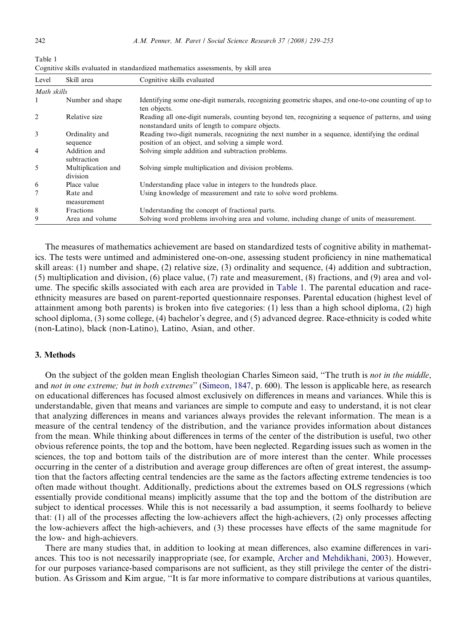| Table 1                                                                           |
|-----------------------------------------------------------------------------------|
| Cognitive skills evaluated in standardized mathematics assessments, by skill area |

| Level       | Skill area                     | Cognitive skills evaluated                                                                                                                            |
|-------------|--------------------------------|-------------------------------------------------------------------------------------------------------------------------------------------------------|
| Math skills |                                |                                                                                                                                                       |
| 1           | Number and shape               | Identifying some one-digit numerals, recognizing geometric shapes, and one-to-one counting of up to<br>ten objects.                                   |
| 2           | Relative size                  | Reading all one-digit numerals, counting beyond ten, recognizing a sequence of patterns, and using<br>nonstandard units of length to compare objects. |
| 3           | Ordinality and<br>sequence     | Reading two-digit numerals, recognizing the next number in a sequence, identifying the ordinal<br>position of an object, and solving a simple word.   |
| 4           | Addition and<br>subtraction    | Solving simple addition and subtraction problems.                                                                                                     |
| 5           | Multiplication and<br>division | Solving simple multiplication and division problems.                                                                                                  |
| 6           | Place value                    | Understanding place value in integers to the hundreds place.                                                                                          |
| 7           | Rate and<br>measurement        | Using knowledge of measurement and rate to solve word problems.                                                                                       |
| 8           | Fractions                      | Understanding the concept of fractional parts.                                                                                                        |
| 9           | Area and volume                | Solving word problems involving area and volume, including change of units of measurement.                                                            |

The measures of mathematics achievement are based on standardized tests of cognitive ability in mathematics. The tests were untimed and administered one-on-one, assessing student proficiency in nine mathematical skill areas: (1) number and shape, (2) relative size, (3) ordinality and sequence, (4) addition and subtraction, (5) multiplication and division, (6) place value, (7) rate and measurement, (8) fractions, and (9) area and volume. The specific skills associated with each area are provided in Table 1. The parental education and raceethnicity measures are based on parent-reported questionnaire responses. Parental education (highest level of attainment among both parents) is broken into five categories: (1) less than a high school diploma, (2) high school diploma, (3) some college, (4) bachelor's degree, and (5) advanced degree. Race-ethnicity is coded white (non-Latino), black (non-Latino), Latino, Asian, and other.

## 3. Methods

On the subject of the golden mean English theologian Charles Simeon said, "The truth is not in the middle, and not in one extreme; but in both extremes'' [\(Simeon, 1847](#page-14-0), p. 600). The lesson is applicable here, as research on educational differences has focused almost exclusively on differences in means and variances. While this is understandable, given that means and variances are simple to compute and easy to understand, it is not clear that analyzing differences in means and variances always provides the relevant information. The mean is a measure of the central tendency of the distribution, and the variance provides information about distances from the mean. While thinking about differences in terms of the center of the distribution is useful, two other obvious reference points, the top and the bottom, have been neglected. Regarding issues such as women in the sciences, the top and bottom tails of the distribution are of more interest than the center. While processes occurring in the center of a distribution and average group differences are often of great interest, the assumption that the factors affecting central tendencies are the same as the factors affecting extreme tendencies is too often made without thought. Additionally, predictions about the extremes based on OLS regressions (which essentially provide conditional means) implicitly assume that the top and the bottom of the distribution are subject to identical processes. While this is not necessarily a bad assumption, it seems foolhardy to believe that: (1) all of the processes affecting the low-achievers affect the high-achievers, (2) only processes affecting the low-achievers affect the high-achievers, and (3) these processes have effects of the same magnitude for the low- and high-achievers.

There are many studies that, in addition to looking at mean differences, also examine differences in variances. This too is not necessarily inappropriate (see, for example, [Archer and Mehdikhani, 2003\)](#page-12-0). However, for our purposes variance-based comparisons are not sufficient, as they still privilege the center of the distribution. As Grissom and Kim argue, ''It is far more informative to compare distributions at various quantiles,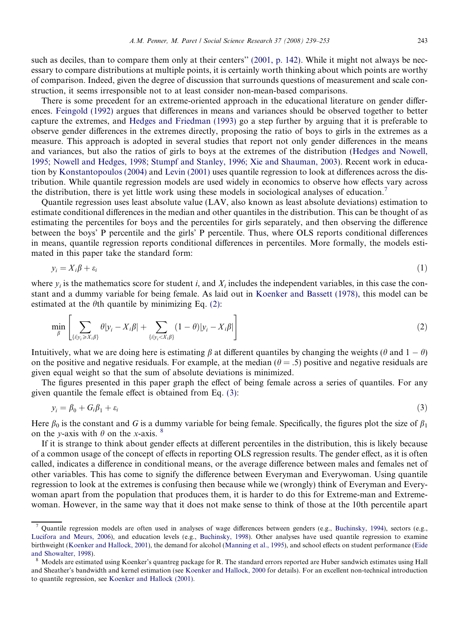such as deciles, than to compare them only at their centers'' [\(2001, p. 142\).](#page-13-0) While it might not always be necessary to compare distributions at multiple points, it is certainly worth thinking about which points are worthy of comparison. Indeed, given the degree of discussion that surrounds questions of measurement and scale construction, it seems irresponsible not to at least consider non-mean-based comparisons.

There is some precedent for an extreme-oriented approach in the educational literature on gender differences. [Feingold \(1992\)](#page-13-0) argues that differences in means and variances should be observed together to better capture the extremes, and [Hedges and Friedman \(1993\)](#page-13-0) go a step further by arguing that it is preferable to observe gender differences in the extremes directly, proposing the ratio of boys to girls in the extremes as a measure. This approach is adopted in several studies that report not only gender differences in the means and variances, but also the ratios of girls to boys at the extremes of the distribution ([Hedges and Nowell,](#page-13-0) [1995; Nowell and Hedges, 1998; Stumpf and Stanley, 1996; Xie and Shauman, 2003](#page-13-0)). Recent work in education by [Konstantopoulos \(2004\)](#page-13-0) and [Levin \(2001\)](#page-13-0) uses quantile regression to look at differences across the distribution. While quantile regression models are used widely in economics to observe how effects vary across the distribution, there is yet little work using these models in sociological analyses of education.<sup>7</sup>

Quantile regression uses least absolute value (LAV, also known as least absolute deviations) estimation to estimate conditional differences in the median and other quantiles in the distribution. This can be thought of as estimating the percentiles for boys and the percentiles for girls separately, and then observing the difference between the boys' P percentile and the girls' P percentile. Thus, where OLS reports conditional differences in means, quantile regression reports conditional differences in percentiles. More formally, the models estimated in this paper take the standard form:

$$
y_i = X_i \beta + \varepsilon_i \tag{1}
$$

where  $y_i$  is the mathematics score for student i, and  $X_i$  includes the independent variables, in this case the constant and a dummy variable for being female. As laid out in [Koenker and Bassett \(1978\),](#page-13-0) this model can be estimated at the  $\theta$ th quantile by minimizing Eq. (2):

$$
\min_{\beta} \left[ \sum_{\{i \mid y_i \geq X_i \beta\}} \theta |y_i - X_i \beta| + \sum_{\{i \mid y_i < X_i \beta\}} (1 - \theta) |y_i - X_i \beta| \right] \tag{2}
$$

Intuitively, what we are doing here is estimating  $\beta$  at different quantiles by changing the weights ( $\theta$  and  $1-\theta$ ) on the positive and negative residuals. For example, at the median  $(\theta = .5)$  positive and negative residuals are given equal weight so that the sum of absolute deviations is minimized.

The figures presented in this paper graph the effect of being female across a series of quantiles. For any given quantile the female effect is obtained from Eq. (3):

$$
y_i = \beta_0 + G_i \beta_1 + \varepsilon_i \tag{3}
$$

Here  $\beta_0$  is the constant and G is a dummy variable for being female. Specifically, the figures plot the size of  $\beta_1$ on the y-axis with  $\theta$  on the x-axis.  $\delta$ 

If it is strange to think about gender effects at different percentiles in the distribution, this is likely because of a common usage of the concept of effects in reporting OLS regression results. The gender effect, as it is often called, indicates a difference in conditional means, or the average difference between males and females net of other variables. This has come to signify the difference between Everyman and Everywoman. Using quantile regression to look at the extremes is confusing then because while we (wrongly) think of Everyman and Everywoman apart from the population that produces them, it is harder to do this for Extreme-man and Extremewoman. However, in the same way that it does not make sense to think of those at the 10th percentile apart

<sup>7</sup> Quantile regression models are often used in analyses of wage differences between genders (e.g., [Buchinsky, 1994](#page-12-0)), sectors (e.g., [Lucifora and Meurs, 2006](#page-13-0)), and education levels (e.g., [Buchinsky, 1998](#page-12-0)). Other analyses have used quantile regression to examine birthweight ([Koenker and Hallock, 2001](#page-13-0)), the demand for alcohol ([Manning et al., 1995](#page-13-0)), and school effects on student performance ([Eide](#page-13-0) [and Showalter, 1998](#page-13-0)).

 $8$  Models are estimated using Koenker's quantreg package for R. The standard errors reported are Huber sandwich estimates using Hall and Sheather's bandwidth and kernel estimation (see [Koenker and Hallock, 2000](#page-13-0) for details). For an excellent non-technical introduction to quantile regression, see [Koenker and Hallock \(2001\)](#page-13-0).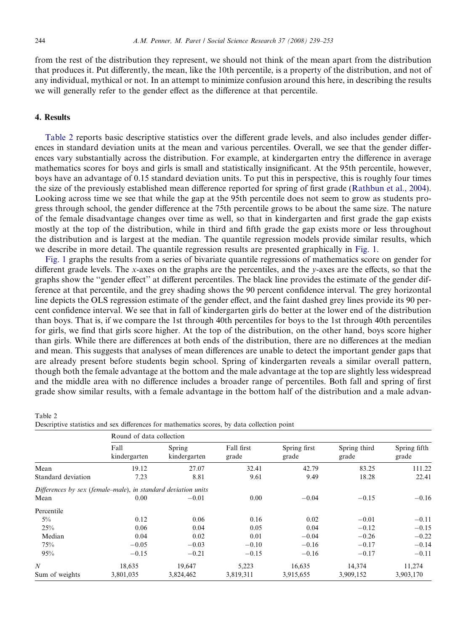from the rest of the distribution they represent, we should not think of the mean apart from the distribution that produces it. Put differently, the mean, like the 10th percentile, is a property of the distribution, and not of any individual, mythical or not. In an attempt to minimize confusion around this here, in describing the results we will generally refer to the gender effect as the difference at that percentile.

# 4. Results

Table 2

Table 2 reports basic descriptive statistics over the different grade levels, and also includes gender differences in standard deviation units at the mean and various percentiles. Overall, we see that the gender differences vary substantially across the distribution. For example, at kindergarten entry the difference in average mathematics scores for boys and girls is small and statistically insignificant. At the 95th percentile, however, boys have an advantage of 0.15 standard deviation units. To put this in perspective, this is roughly four times the size of the previously established mean difference reported for spring of first grade ([Rathbun et al., 2004](#page-14-0)). Looking across time we see that while the gap at the 95th percentile does not seem to grow as students progress through school, the gender difference at the 75th percentile grows to be about the same size. The nature of the female disadvantage changes over time as well, so that in kindergarten and first grade the gap exists mostly at the top of the distribution, while in third and fifth grade the gap exists more or less throughout the distribution and is largest at the median. The quantile regression models provide similar results, which we describe in more detail. The quantile regression results are presented graphically in [Fig. 1](#page-6-0).

[Fig. 1](#page-6-0) graphs the results from a series of bivariate quantile regressions of mathematics score on gender for different grade levels. The x-axes on the graphs are the percentiles, and the  $y$ -axes are the effects, so that the graphs show the ''gender effect'' at different percentiles. The black line provides the estimate of the gender difference at that percentile, and the grey shading shows the 90 percent confidence interval. The grey horizontal line depicts the OLS regression estimate of the gender effect, and the faint dashed grey lines provide its 90 percent confidence interval. We see that in fall of kindergarten girls do better at the lower end of the distribution than boys. That is, if we compare the 1st through 40th percentiles for boys to the 1st through 40th percentiles for girls, we find that girls score higher. At the top of the distribution, on the other hand, boys score higher than girls. While there are differences at both ends of the distribution, there are no differences at the median and mean. This suggests that analyses of mean differences are unable to detect the important gender gaps that are already present before students begin school. Spring of kindergarten reveals a similar overall pattern, though both the female advantage at the bottom and the male advantage at the top are slightly less widespread and the middle area with no difference includes a broader range of percentiles. Both fall and spring of first grade show similar results, with a female advantage in the bottom half of the distribution and a male advan-

|                                                               | Round of data collection |                        |                     |                       |                       |                       |  |  |  |
|---------------------------------------------------------------|--------------------------|------------------------|---------------------|-----------------------|-----------------------|-----------------------|--|--|--|
|                                                               | Fall<br>kindergarten     | Spring<br>kindergarten | Fall first<br>grade | Spring first<br>grade | Spring third<br>grade | Spring fifth<br>grade |  |  |  |
| Mean                                                          | 19.12                    | 27.07                  | 32.41               | 42.79                 | 83.25                 | 111.22                |  |  |  |
| Standard deviation                                            | 7.23                     | 8.81                   | 9.61                | 9.49                  | 18.28                 | 22.41                 |  |  |  |
| Differences by sex (female–male), in standard deviation units |                          |                        |                     |                       |                       |                       |  |  |  |
| Mean                                                          | 0.00                     | $-0.01$                | 0.00                | $-0.04$               | $-0.15$               | $-0.16$               |  |  |  |
| Percentile                                                    |                          |                        |                     |                       |                       |                       |  |  |  |
| $5\%$                                                         | 0.12                     | 0.06                   | 0.16                | 0.02                  | $-0.01$               | $-0.11$               |  |  |  |
| 25%                                                           | 0.06                     | 0.04                   | 0.05                | 0.04                  | $-0.12$               | $-0.15$               |  |  |  |
| Median                                                        | 0.04                     | 0.02                   | 0.01                | $-0.04$               | $-0.26$               | $-0.22$               |  |  |  |
| 75%                                                           | $-0.05$                  | $-0.03$                | $-0.10$             | $-0.16$               | $-0.17$               | $-0.14$               |  |  |  |
| 95%                                                           | $-0.15$                  | $-0.21$                | $-0.15$             | $-0.16$               | $-0.17$               | $-0.11$               |  |  |  |
| $\boldsymbol{N}$                                              | 18,635                   | 19,647                 | 5,223               | 16,635                | 14,374                | 11,274                |  |  |  |
| Sum of weights                                                | 3,801,035                | 3,824,462              | 3,819,311           | 3,915,655             | 3,909,152             | 3,903,170             |  |  |  |

Descriptive statistics and sex differences for mathematics scores, by data collection point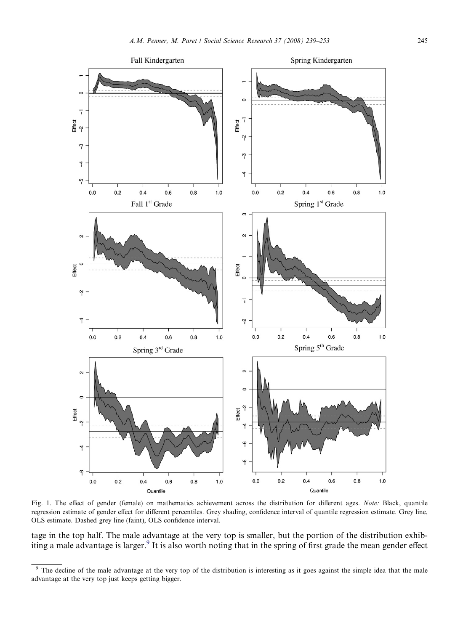<span id="page-6-0"></span>

Fig. 1. The effect of gender (female) on mathematics achievement across the distribution for different ages. Note: Black, quantile regression estimate of gender effect for different percentiles. Grey shading, confidence interval of quantile regression estimate. Grey line, OLS estimate. Dashed grey line (faint), OLS confidence interval.

tage in the top half. The male advantage at the very top is smaller, but the portion of the distribution exhibiting a male advantage is larger.<sup>9</sup> It is also worth noting that in the spring of first grade the mean gender effect

<sup>&</sup>lt;sup>9</sup> The decline of the male advantage at the very top of the distribution is interesting as it goes against the simple idea that the male advantage at the very top just keeps getting bigger.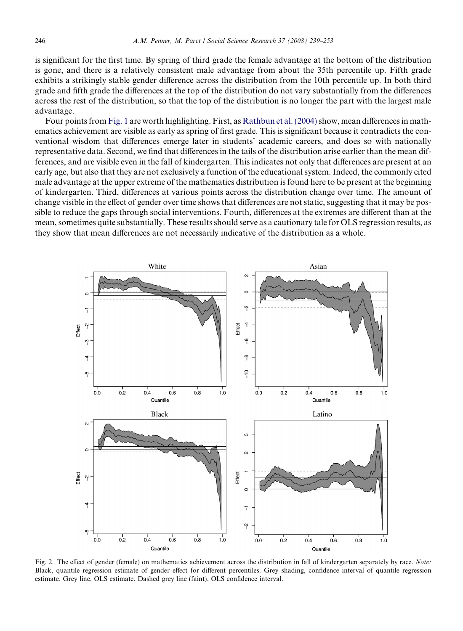<span id="page-7-0"></span>is significant for the first time. By spring of third grade the female advantage at the bottom of the distribution is gone, and there is a relatively consistent male advantage from about the 35th percentile up. Fifth grade exhibits a strikingly stable gender difference across the distribution from the 10th percentile up. In both third grade and fifth grade the differences at the top of the distribution do not vary substantially from the differences across the rest of the distribution, so that the top of the distribution is no longer the part with the largest male advantage.

Four points from [Fig. 1](#page-6-0) are worth highlighting. First, as [Rathbun et al. \(2004\)](#page-14-0) show, mean differences in mathematics achievement are visible as early as spring of first grade. This is significant because it contradicts the conventional wisdom that differences emerge later in students' academic careers, and does so with nationally representative data. Second, we find that differences in the tails of the distribution arise earlier than the mean differences, and are visible even in the fall of kindergarten. This indicates not only that differences are present at an early age, but also that they are not exclusively a function of the educational system. Indeed, the commonly cited male advantage at the upper extreme of the mathematics distribution is found here to be present at the beginning of kindergarten. Third, differences at various points across the distribution change over time. The amount of change visible in the effect of gender over time shows that differences are not static, suggesting that it may be possible to reduce the gaps through social interventions. Fourth, differences at the extremes are different than at the mean, sometimes quite substantially. These results should serve as a cautionary tale for OLS regression results, as they show that mean differences are not necessarily indicative of the distribution as a whole.



Fig. 2. The effect of gender (female) on mathematics achievement across the distribution in fall of kindergarten separately by race. Note: Black, quantile regression estimate of gender effect for different percentiles. Grey shading, confidence interval of quantile regression estimate. Grey line, OLS estimate. Dashed grey line (faint), OLS confidence interval.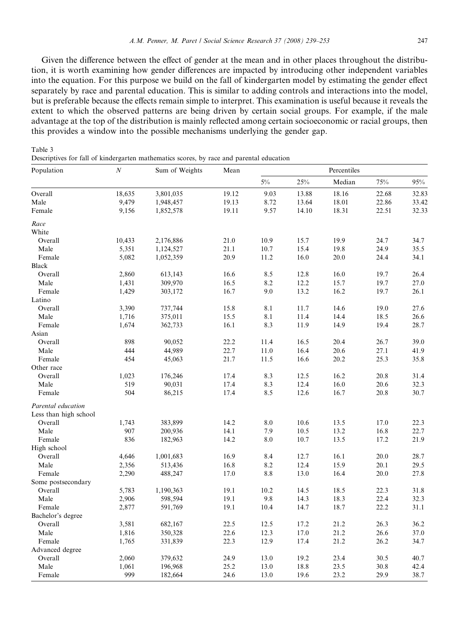<span id="page-8-0"></span>Given the difference between the effect of gender at the mean and in other places throughout the distribution, it is worth examining how gender differences are impacted by introducing other independent variables into the equation. For this purpose we build on the fall of kindergarten model by estimating the gender effect separately by race and parental education. This is similar to adding controls and interactions into the model, but is preferable because the effects remain simple to interpret. This examination is useful because it reveals the extent to which the observed patterns are being driven by certain social groups. For example, if the male advantage at the top of the distribution is mainly reflected among certain socioeconomic or racial groups, then this provides a window into the possible mechanisms underlying the gender gap.

Table 3

Descriptives for fall of kindergarten mathematics scores, by race and parental education

| Population            | $\boldsymbol{N}$ | Sum of Weights | Mean  | Percentiles |          |        |        |       |
|-----------------------|------------------|----------------|-------|-------------|----------|--------|--------|-------|
|                       |                  |                |       | $5\%$       | $25\%$   | Median | $75\%$ | 95%   |
| Overall               | 18,635           | 3,801,035      | 19.12 | 9.03        | 13.88    | 18.16  | 22.68  | 32.83 |
| Male                  | 9,479            | 1,948,457      | 19.13 | 8.72        | 13.64    | 18.01  | 22.86  | 33.42 |
| Female                | 9,156            | 1,852,578      | 19.11 | 9.57        | 14.10    | 18.31  | 22.51  | 32.33 |
| Race                  |                  |                |       |             |          |        |        |       |
| White                 |                  |                |       |             |          |        |        |       |
| Overall               | 10,433           | 2,176,886      | 21.0  | 10.9        | 15.7     | 19.9   | 24.7   | 34.7  |
| Male                  | 5,351            | 1,124,527      | 21.1  | 10.7        | 15.4     | 19.8   | 24.9   | 35.5  |
| Female                | 5,082            | 1,052,359      | 20.9  | 11.2        | 16.0     | 20.0   | 24.4   | 34.1  |
| <b>Black</b>          |                  |                |       |             |          |        |        |       |
| Overall               | 2,860            | 613,143        | 16.6  | 8.5         | 12.8     | 16.0   | 19.7   | 26.4  |
| Male                  | 1,431            | 309,970        | 16.5  | 8.2         | 12.2     | 15.7   | 19.7   | 27.0  |
| Female                | 1,429            | 303,172        | 16.7  | 9.0         | 13.2     | 16.2   | 19.7   | 26.1  |
| Latino                |                  |                |       |             |          |        |        |       |
| Overall               | 3,390            | 737,744        | 15.8  | 8.1         | 11.7     | 14.6   | 19.0   | 27.6  |
| Male                  | 1,716            | 375,011        | 15.5  | 8.1         | 11.4     | 14.4   | 18.5   | 26.6  |
| Female                | 1,674            | 362,733        | 16.1  | 8.3         | 11.9     | 14.9   | 19.4   | 28.7  |
| Asian                 |                  |                |       |             |          |        |        |       |
| Overall               | 898              | 90,052         | 22.2  | 11.4        | 16.5     | 20.4   | 26.7   | 39.0  |
| Male                  | 444              | 44,989         | 22.7  | 11.0        | 16.4     | 20.6   | 27.1   | 41.9  |
| Female                | 454              | 45,063         | 21.7  | 11.5        | 16.6     | 20.2   | 25.3   | 35.8  |
| Other race            |                  |                |       |             |          |        |        |       |
| Overall               | 1,023            | 176,246        | 17.4  | 8.3         | 12.5     | 16.2   | 20.8   | 31.4  |
| Male                  | 519              | 90,031         | 17.4  | 8.3         | 12.4     | 16.0   | 20.6   | 32.3  |
| Female                | 504              | 86,215         | 17.4  | 8.5         | 12.6     | 16.7   | 20.8   | 30.7  |
| Parental education    |                  |                |       |             |          |        |        |       |
| Less than high school |                  |                |       |             |          |        |        |       |
| Overall               | 1,743            | 383,899        | 14.2  | 8.0         | 10.6     | 13.5   | 17.0   | 22.3  |
| Male                  | 907              | 200,936        | 14.1  | 7.9         | 10.5     | 13.2   | 16.8   | 22.7  |
| Female                | 836              | 182,963        | 14.2  | 8.0         | 10.7     | 13.5   | 17.2   | 21.9  |
| High school           |                  |                |       |             |          |        |        |       |
| Overall               | 4,646            | 1,001,683      | 16.9  | 8.4         | 12.7     | 16.1   | 20.0   | 28.7  |
| Male                  | 2,356            | 513,436        | 16.8  | 8.2         | 12.4     | 15.9   | 20.1   | 29.5  |
| Female                | 2,290            | 488,247        | 17.0  | $8.8\,$     | 13.0     | 16.4   | 20.0   | 27.8  |
| Some postsecondary    |                  |                |       |             |          |        |        |       |
| Overall               | 5,783            | 1,190,363      | 19.1  | 10.2        | 14.5     | 18.5   | 22.3   | 31.8  |
| Male                  | 2,906            | 598,594        | 19.1  | 9.8         | 14.3     | 18.3   | 22.4   | 32.3  |
| Female                | 2,877            | 591,769        | 19.1  | 10.4        | 14.7     | 18.7   | 22.2   | 31.1  |
| Bachelor's degree     |                  |                |       |             |          |        |        |       |
| Overall               | 3,581            | 682,167        | 22.5  | 12.5        | 17.2     | 21.2   | 26.3   | 36.2  |
| Male                  | 1,816            | 350,328        | 22.6  | 12.3        | $17.0\,$ | 21.2   | 26.6   | 37.0  |
| Female                | 1,765            | 331,839        | 22.3  | 12.9        | 17.4     | 21.2   | 26.2   | 34.7  |
| Advanced degree       |                  |                |       |             |          |        |        |       |
| Overall               | 2,060            | 379,632        | 24.9  | 13.0        | 19.2     | 23.4   | 30.5   | 40.7  |
| Male                  | 1,061            | 196,968        | 25.2  | 13.0        | 18.8     | 23.5   | 30.8   | 42.4  |
| Female                | 999              | 182,664        | 24.6  | 13.0        | 19.6     | 23.2   | 29.9   | 38.7  |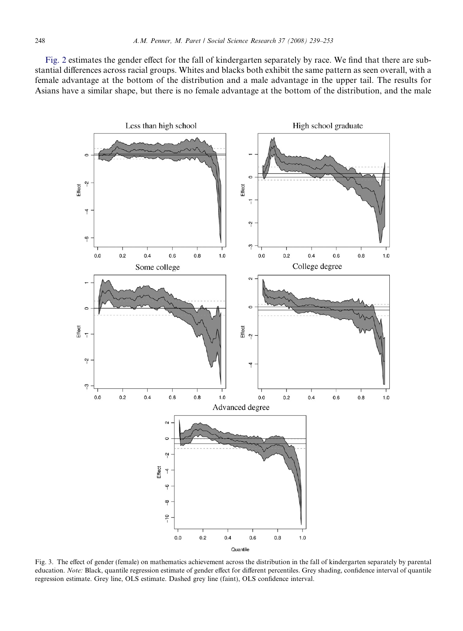<span id="page-9-0"></span>[Fig. 2](#page-7-0) estimates the gender effect for the fall of kindergarten separately by race. We find that there are substantial differences across racial groups. Whites and blacks both exhibit the same pattern as seen overall, with a female advantage at the bottom of the distribution and a male advantage in the upper tail. The results for Asians have a similar shape, but there is no female advantage at the bottom of the distribution, and the male



Fig. 3. The effect of gender (female) on mathematics achievement across the distribution in the fall of kindergarten separately by parental education. Note: Black, quantile regression estimate of gender effect for different percentiles. Grey shading, confidence interval of quantile regression estimate. Grey line, OLS estimate. Dashed grey line (faint), OLS confidence interval.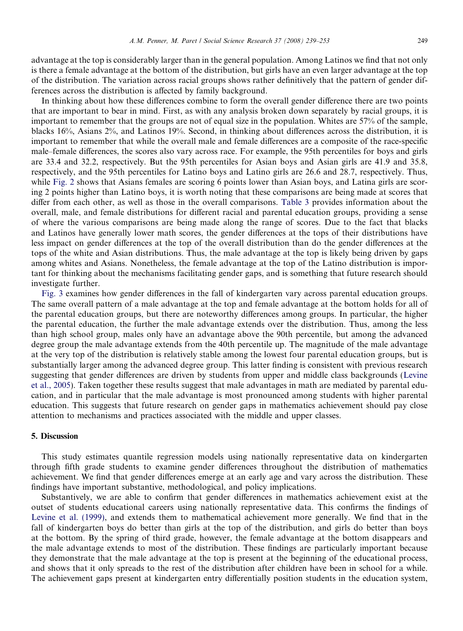advantage at the top is considerably larger than in the general population. Among Latinos we find that not only is there a female advantage at the bottom of the distribution, but girls have an even larger advantage at the top of the distribution. The variation across racial groups shows rather definitively that the pattern of gender differences across the distribution is affected by family background.

In thinking about how these differences combine to form the overall gender difference there are two points that are important to bear in mind. First, as with any analysis broken down separately by racial groups, it is important to remember that the groups are not of equal size in the population. Whites are 57% of the sample, blacks 16%, Asians 2%, and Latinos 19%. Second, in thinking about differences across the distribution, it is important to remember that while the overall male and female differences are a composite of the race-specific male–female differences, the scores also vary across race. For example, the 95th percentiles for boys and girls are 33.4 and 32.2, respectively. But the 95th percentiles for Asian boys and Asian girls are 41.9 and 35.8, respectively, and the 95th percentiles for Latino boys and Latino girls are 26.6 and 28.7, respectively. Thus, while [Fig. 2](#page-7-0) shows that Asians females are scoring 6 points lower than Asian boys, and Latina girls are scoring 2 points higher than Latino boys, it is worth noting that these comparisons are being made at scores that differ from each other, as well as those in the overall comparisons. [Table 3](#page-8-0) provides information about the overall, male, and female distributions for different racial and parental education groups, providing a sense of where the various comparisons are being made along the range of scores. Due to the fact that blacks and Latinos have generally lower math scores, the gender differences at the tops of their distributions have less impact on gender differences at the top of the overall distribution than do the gender differences at the tops of the white and Asian distributions. Thus, the male advantage at the top is likely being driven by gaps among whites and Asians. Nonetheless, the female advantage at the top of the Latino distribution is important for thinking about the mechanisms facilitating gender gaps, and is something that future research should investigate further.

[Fig. 3](#page-9-0) examines how gender differences in the fall of kindergarten vary across parental education groups. The same overall pattern of a male advantage at the top and female advantage at the bottom holds for all of the parental education groups, but there are noteworthy differences among groups. In particular, the higher the parental education, the further the male advantage extends over the distribution. Thus, among the less than high school group, males only have an advantage above the 90th percentile, but among the advanced degree group the male advantage extends from the 40th percentile up. The magnitude of the male advantage at the very top of the distribution is relatively stable among the lowest four parental education groups, but is substantially larger among the advanced degree group. This latter finding is consistent with previous research suggesting that gender differences are driven by students from upper and middle class backgrounds [\(Levine](#page-13-0) [et al., 2005\)](#page-13-0). Taken together these results suggest that male advantages in math are mediated by parental education, and in particular that the male advantage is most pronounced among students with higher parental education. This suggests that future research on gender gaps in mathematics achievement should pay close attention to mechanisms and practices associated with the middle and upper classes.

## 5. Discussion

This study estimates quantile regression models using nationally representative data on kindergarten through fifth grade students to examine gender differences throughout the distribution of mathematics achievement. We find that gender differences emerge at an early age and vary across the distribution. These findings have important substantive, methodological, and policy implications.

Substantively, we are able to confirm that gender differences in mathematics achievement exist at the outset of students educational careers using nationally representative data. This confirms the findings of [Levine et al. \(1999\)](#page-13-0), and extends them to mathematical achievement more generally. We find that in the fall of kindergarten boys do better than girls at the top of the distribution, and girls do better than boys at the bottom. By the spring of third grade, however, the female advantage at the bottom disappears and the male advantage extends to most of the distribution. These findings are particularly important because they demonstrate that the male advantage at the top is present at the beginning of the educational process, and shows that it only spreads to the rest of the distribution after children have been in school for a while. The achievement gaps present at kindergarten entry differentially position students in the education system,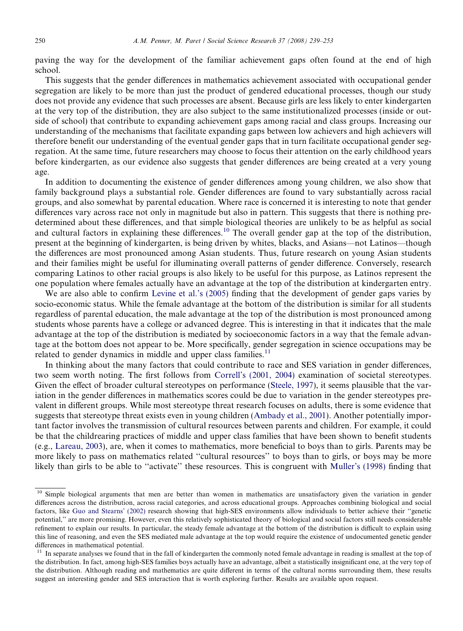paving the way for the development of the familiar achievement gaps often found at the end of high school.

This suggests that the gender differences in mathematics achievement associated with occupational gender segregation are likely to be more than just the product of gendered educational processes, though our study does not provide any evidence that such processes are absent. Because girls are less likely to enter kindergarten at the very top of the distribution, they are also subject to the same institutionalized processes (inside or outside of school) that contribute to expanding achievement gaps among racial and class groups. Increasing our understanding of the mechanisms that facilitate expanding gaps between low achievers and high achievers will therefore benefit our understanding of the eventual gender gaps that in turn facilitate occupational gender segregation. At the same time, future researchers may choose to focus their attention on the early childhood years before kindergarten, as our evidence also suggests that gender differences are being created at a very young age.

In addition to documenting the existence of gender differences among young children, we also show that family background plays a substantial role. Gender differences are found to vary substantially across racial groups, and also somewhat by parental education. Where race is concerned it is interesting to note that gender differences vary across race not only in magnitude but also in pattern. This suggests that there is nothing predetermined about these differences, and that simple biological theories are unlikely to be as helpful as social and cultural factors in explaining these differences.<sup>10</sup> The overall gender gap at the top of the distribution, present at the beginning of kindergarten, is being driven by whites, blacks, and Asians—not Latinos—though the differences are most pronounced among Asian students. Thus, future research on young Asian students and their families might be useful for illuminating overall patterns of gender difference. Conversely, research comparing Latinos to other racial groups is also likely to be useful for this purpose, as Latinos represent the one population where females actually have an advantage at the top of the distribution at kindergarten entry.

We are also able to confirm [Levine et al.'s \(2005\)](#page-13-0) finding that the development of gender gaps varies by socio-economic status. While the female advantage at the bottom of the distribution is similar for all students regardless of parental education, the male advantage at the top of the distribution is most pronounced among students whose parents have a college or advanced degree. This is interesting in that it indicates that the male advantage at the top of the distribution is mediated by socioeconomic factors in a way that the female advantage at the bottom does not appear to be. More specifically, gender segregation in science occupations may be related to gender dynamics in middle and upper class families.<sup>11</sup>

In thinking about the many factors that could contribute to race and SES variation in gender differences, two seem worth noting. The first follows from [Correll's \(2001, 2004\)](#page-13-0) examination of societal stereotypes. Given the effect of broader cultural stereotypes on performance [\(Steele, 1997\)](#page-14-0), it seems plausible that the variation in the gender differences in mathematics scores could be due to variation in the gender stereotypes prevalent in different groups. While most stereotype threat research focuses on adults, there is some evidence that suggests that stereotype threat exists even in young children ([Ambady et al., 2001\)](#page-12-0). Another potentially important factor involves the transmission of cultural resources between parents and children. For example, it could be that the childrearing practices of middle and upper class families that have been shown to benefit students (e.g., [Lareau, 2003\)](#page-13-0), are, when it comes to mathematics, more beneficial to boys than to girls. Parents may be more likely to pass on mathematics related ''cultural resources'' to boys than to girls, or boys may be more likely than girls to be able to ''activate'' these resources. This is congruent with [Muller's \(1998\)](#page-13-0) finding that

<sup>&</sup>lt;sup>10</sup> Simple biological arguments that men are better than women in mathematics are unsatisfactory given the variation in gender differences across the distribution, across racial categories, and across educational groups. Approaches combining biological and social factors, like [Guo and Stearns' \(2002\)](#page-13-0) research showing that high-SES environments allow individuals to better achieve their ''genetic potential,'' are more promising. However, even this relatively sophisticated theory of biological and social factors still needs considerable refinement to explain our results. In particular, the steady female advantage at the bottom of the distribution is difficult to explain using this line of reasoning, and even the SES mediated male advantage at the top would require the existence of undocumented genetic gender differences in mathematical potential.

<sup>&</sup>lt;sup>11</sup> In separate analyses we found that in the fall of kindergarten the commonly noted female advantage in reading is smallest at the top of the distribution. In fact, among high-SES families boys actually have an advantage, albeit a statistically insignificant one, at the very top of the distribution. Although reading and mathematics are quite different in terms of the cultural norms surrounding them, these results suggest an interesting gender and SES interaction that is worth exploring further. Results are available upon request.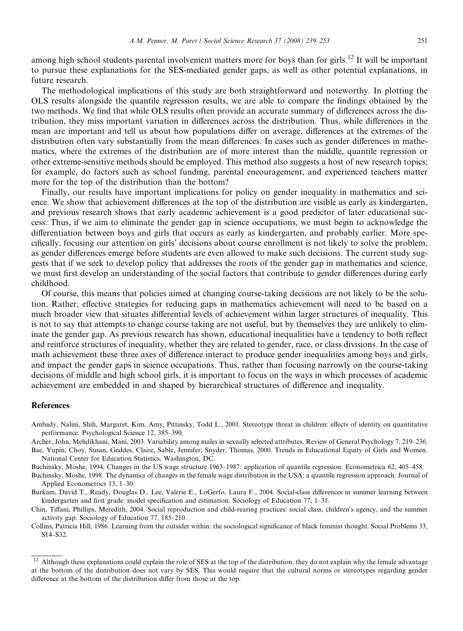<span id="page-12-0"></span>among high school students parental involvement matters more for boys than for girls.<sup>12</sup> It will be important to pursue these explanations for the SES-mediated gender gaps, as well as other potential explanations, in future research.

The methodological implications of this study are both straightforward and noteworthy. In plotting the OLS results alongside the quantile regression results, we are able to compare the findings obtained by the two methods. We find that while OLS results often provide an accurate summary of differences across the distribution, they miss important variation in differences across the distribution. Thus, while differences in the mean are important and tell us about how populations differ on average, differences at the extremes of the distribution often vary substantially from the mean differences. In cases such as gender differences in mathematics, where the extremes of the distribution are of more interest than the middle, quantile regression or other extreme-sensitive methods should be employed. This method also suggests a host of new research topics; for example, do factors such as school funding, parental encouragement, and experienced teachers matter more for the top of the distribution than the bottom?

Finally, our results have important implications for policy on gender inequality in mathematics and science. We show that achievement differences at the top of the distribution are visible as early as kindergarten, and previous research shows that early academic achievement is a good predictor of later educational success. Thus, if we aim to eliminate the gender gap in science occupations, we must begin to acknowledge the differentiation between boys and girls that occurs as early as kindergarten, and probably earlier. More specifically, focusing our attention on girls' decisions about course enrollment is not likely to solve the problem, as gender differences emerge before students are even allowed to make such decisions. The current study suggests that if we seek to develop policy that addresses the roots of the gender gap in mathematics and science, we must first develop an understanding of the social factors that contribute to gender differences during early childhood.

Of course, this means that policies aimed at changing course-taking decisions are not likely to be the solution. Rather, effective strategies for reducing gaps in mathematics achievement will need to be based on a much broader view that situates differential levels of achievement within larger structures of inequality. This is not to say that attempts to change course taking are not useful, but by themselves they are unlikely to eliminate the gender gap. As previous research has shown, educational inequalities have a tendency to both reflect and reinforce structures of inequality, whether they are related to gender, race, or class divisions. In the case of math achievement these three axes of difference interact to produce gender inequalities among boys and girls, and impact the gender gaps in science occupations. Thus, rather than focusing narrowly on the course-taking decisions of middle and high school girls, it is important to focus on the ways in which processes of academic achievement are embedded in and shaped by hierarchical structures of difference and inequality.

## References

Ambady, Nalini, Shih, Margaret, Kim, Amy, Pittinsky, Todd L., 2001. Stereotype threat in children: effects of identity on quantitative performance. Psychological Science 12, 385–390.

Archer, John, Mehdikhani, Mani, 2003. Variability among males in sexually selected attributes. Review of General Psychology 7, 219–236.

Bae, Yupin, Choy, Susan, Geddes, Claire, Sable, Jennifer, Snyder, Thomas, 2000. Trends in Educational Equity of Girls and Women. National Center for Education Statistics, Washington, DC.

Buchinsky, Moshe, 1994. Changes in the US wage structure 1963–1987: application of quantile regression. Econometrica 62, 405–458.

Buchinsky, Moshe, 1998. The dynamics of changes in the female wage distribution in the USA: a quantile regression approach. Journal of Applied Econometrics 13, 1–30.

Burkam, David T., Ready, Douglas D., Lee, Valerie E., LoGerfo, Laura F., 2004. Social-class differences in summer learning between kindergarten and first grade: model specification and estimation. Sociology of Education 77, 1–31.

Chin, Tiffani, Phillips, Meredith, 2004. Social reproduction and child-rearing practices: social class, children's agency, and the summer activity gap. Sociology of Education 77, 185–210.

Collins, Patricia Hill, 1986. Learning from the outsider within: the sociological significance of black feminist thought. Social Problems 33, S14–S32.

 $12$  Although these explanations could explain the role of SES at the top of the distribution, they do not explain why the female advantage at the bottom of the distribution does not vary by SES. This would require that the cultural norms or stereotypes regarding gender difference at the bottom of the distribution differ from those at the top.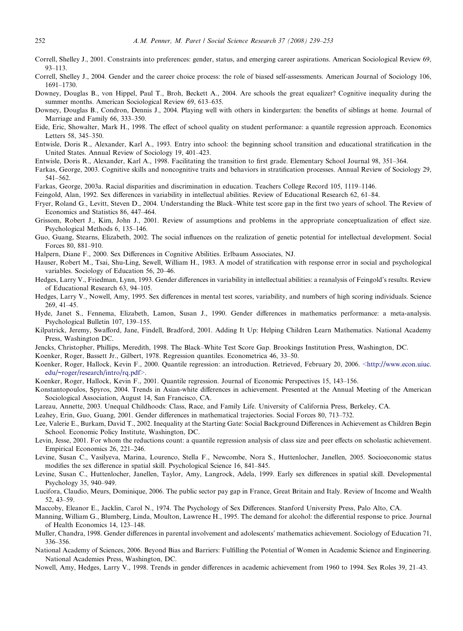- <span id="page-13-0"></span>Correll, Shelley J., 2001. Constraints into preferences: gender, status, and emerging career aspirations. American Sociological Review 69, 93–113.
- Correll, Shelley J., 2004. Gender and the career choice process: the role of biased self-assessments. American Journal of Sociology 106, 1691–1730.
- Downey, Douglas B., von Hippel, Paul T., Broh, Beckett A., 2004. Are schools the great equalizer? Cognitive inequality during the summer months. American Sociological Review 69, 613–635.
- Downey, Douglas B., Condron, Dennis J., 2004. Playing well with others in kindergarten: the benefits of siblings at home. Journal of Marriage and Family 66, 333–350.
- Eide, Eric, Showalter, Mark H., 1998. The effect of school quality on student performance: a quantile regression approach. Economics Letters 58, 345–350.
- Entwisle, Doris R., Alexander, Karl A., 1993. Entry into school: the beginning school transition and educational stratification in the United States. Annual Review of Sociology 19, 401–423.
- Entwisle, Doris R., Alexander, Karl A., 1998. Facilitating the transition to first grade. Elementary School Journal 98, 351–364.
- Farkas, George, 2003. Cognitive skills and noncognitive traits and behaviors in stratification processes. Annual Review of Sociology 29, 541–562.
- Farkas, George, 2003a. Racial disparities and discrimination in education. Teachers College Record 105, 1119–1146.
- Feingold, Alan, 1992. Sex differences in variability in intellectual abilities. Review of Educational Research 62, 61–84.
- Fryer, Roland G., Levitt, Steven D., 2004. Understanding the Black–White test score gap in the first two years of school. The Review of Economics and Statistics 86, 447–464.
- Grissom, Robert J., Kim, John J., 2001. Review of assumptions and problems in the appropriate conceptualization of effect size. Psychological Methods 6, 135–146.
- Guo, Guang, Stearns, Elizabeth, 2002. The social influences on the realization of genetic potential for intellectual development. Social Forces 80, 881–910.
- Halpern, Diane F., 2000. Sex Differences in Cognitive Abilities. Erlbaum Associates, NJ.
- Hauser, Robert M., Tsai, Shu-Ling, Sewell, William H., 1983. A model of stratification with response error in social and psychological variables. Sociology of Education 56, 20–46.
- Hedges, Larry V., Friedman, Lynn, 1993. Gender differences in variability in intellectual abilities: a reanalysis of Feingold's results. Review of Educational Research 63, 94–105.
- Hedges, Larry V., Nowell, Amy, 1995. Sex differences in mental test scores, variability, and numbers of high scoring individuals. Science 269, 41–45.
- Hyde, Janet S., Fennema, Elizabeth, Lamon, Susan J., 1990. Gender differences in mathematics performance: a meta-analysis. Psychological Bulletin 107, 139–155.
- Kilpatrick, Jeremy, Swafford, Jane, Findell, Bradford, 2001. Adding It Up: Helping Children Learn Mathematics. National Academy Press, Washington DC.
- Jencks, Christopher, Phillips, Meredith, 1998. The Black–White Test Score Gap. Brookings Institution Press, Washington, DC.

Koenker, Roger, Bassett Jr., Gilbert, 1978. Regression quantiles. Econometrica 46, 33–50.

- Koenker, Roger, Hallock, Kevin F., 2000. Quantile regression: an introduction. Retrieved, February 20, 2006. [<http://www.econ.uiuc.](http://www.econ.uiuc.edu/~roger/research/intro/rq.pdf) [edu/~roger/research/intro/rq.pdf>](http://www.econ.uiuc.edu/~roger/research/intro/rq.pdf).
- Koenker, Roger, Hallock, Kevin F., 2001. Quantile regression. Journal of Economic Perspectives 15, 143–156.
- Konstantopoulos, Spyros, 2004. Trends in Asian-white differences in achievement. Presented at the Annual Meeting of the American Sociological Association, August 14, San Francisco, CA.
- Lareau, Annette, 2003. Unequal Childhoods: Class, Race, and Family Life. University of California Press, Berkeley, CA.
- Leahey, Erin, Guo, Guang, 2001. Gender differences in mathematical trajectories. Social Forces 80, 713–732.
- Lee, Valerie E., Burkam, David T., 2002. Inequality at the Starting Gate: Social Background Differences in Achievement as Children Begin School. Economic Policy Institute, Washington, DC.
- Levin, Jesse, 2001. For whom the reductions count: a quantile regression analysis of class size and peer effects on scholastic achievement. Empirical Economics 26, 221–246.
- Levine, Susan C., Vasilyeva, Marina, Lourenco, Stella F., Newcombe, Nora S., Huttenlocher, Janellen, 2005. Socioeconomic status modifies the sex difference in spatial skill. Psychological Science 16, 841–845.
- Levine, Susan C., Huttenlocher, Janellen, Taylor, Amy, Langrock, Adela, 1999. Early sex differences in spatial skill. Developmental Psychology 35, 940–949.
- Lucifora, Claudio, Meurs, Dominique, 2006. The public sector pay gap in France, Great Britain and Italy. Review of Income and Wealth 52, 43–59.
- Maccoby, Eleanor E., Jacklin, Carol N., 1974. The Psychology of Sex Differences. Stanford University Press, Palo Alto, CA.
- Manning, William G., Blumberg, Linda, Moulton, Lawrence H., 1995. The demand for alcohol: the differential response to price. Journal of Health Economics 14, 123–148.
- Muller, Chandra, 1998. Gender differences in parental involvement and adolescents' mathematics achievement. Sociology of Education 71, 336–356.
- National Academy of Sciences, 2006. Beyond Bias and Barriers: Fulfilling the Potential of Women in Academic Science and Engineering. National Academies Press, Washington, DC.
- Nowell, Amy, Hedges, Larry V., 1998. Trends in gender differences in academic achievement from 1960 to 1994. Sex Roles 39, 21–43.